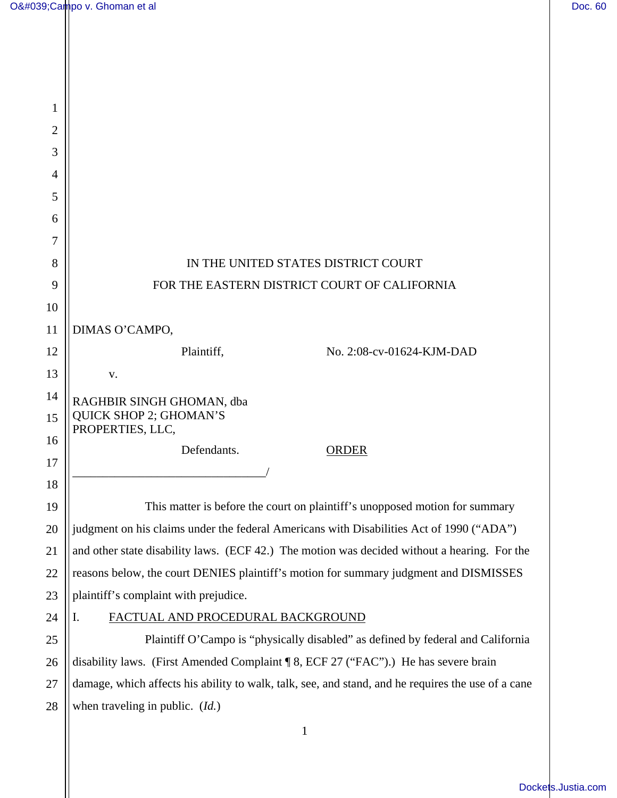| 1  |                                                                                                    |
|----|----------------------------------------------------------------------------------------------------|
| 2  |                                                                                                    |
| 3  |                                                                                                    |
| 4  |                                                                                                    |
| 5  |                                                                                                    |
| 6  |                                                                                                    |
| 7  |                                                                                                    |
| 8  | IN THE UNITED STATES DISTRICT COURT                                                                |
| 9  | FOR THE EASTERN DISTRICT COURT OF CALIFORNIA                                                       |
| 10 |                                                                                                    |
| 11 | DIMAS O'CAMPO,                                                                                     |
| 12 | Plaintiff,<br>No. 2:08-cv-01624-KJM-DAD                                                            |
| 13 | V.                                                                                                 |
| 14 | RAGHBIR SINGH GHOMAN, dba                                                                          |
| 15 | <b>QUICK SHOP 2; GHOMAN'S</b><br>PROPERTIES, LLC,                                                  |
| 16 | Defendants.<br><b>ORDER</b>                                                                        |
| 17 |                                                                                                    |
| 18 |                                                                                                    |
| 19 | This matter is before the court on plaintiff's unopposed motion for summary                        |
| 20 | judgment on his claims under the federal Americans with Disabilities Act of 1990 ("ADA")           |
| 21 | and other state disability laws. (ECF 42.) The motion was decided without a hearing. For the       |
| 22 | reasons below, the court DENIES plaintiff's motion for summary judgment and DISMISSES              |
| 23 | plaintiff's complaint with prejudice.                                                              |
| 24 | I.<br>FACTUAL AND PROCEDURAL BACKGROUND                                                            |
| 25 | Plaintiff O'Campo is "physically disabled" as defined by federal and California                    |
| 26 | disability laws. (First Amended Complaint ¶ 8, ECF 27 ("FAC").) He has severe brain                |
| 27 | damage, which affects his ability to walk, talk, see, and stand, and he requires the use of a cane |
| 28 | when traveling in public. $(Id.)$                                                                  |
|    | $\mathbf{1}$                                                                                       |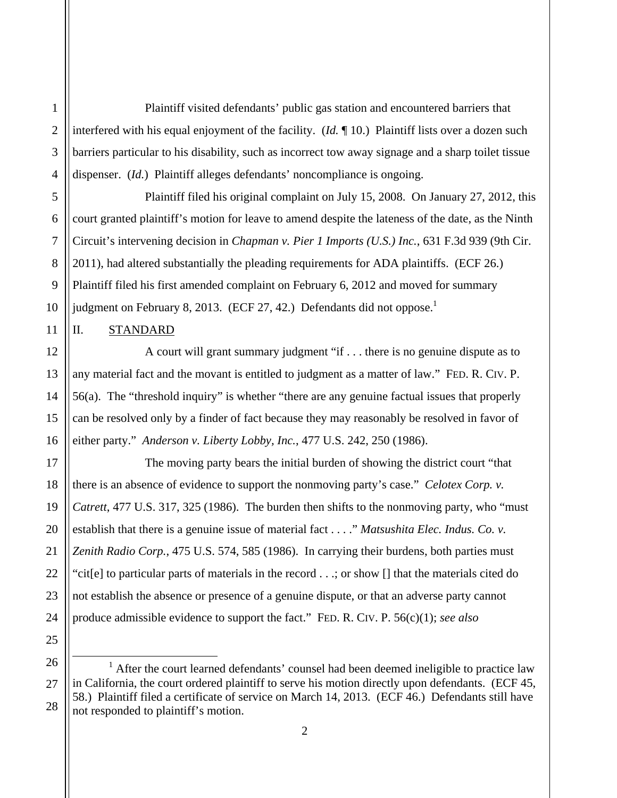Plaintiff visited defendants' public gas station and encountered barriers that interfered with his equal enjoyment of the facility. (*Id.* ¶ 10.) Plaintiff lists over a dozen such barriers particular to his disability, such as incorrect tow away signage and a sharp toilet tissue dispenser. (*Id.*) Plaintiff alleges defendants' noncompliance is ongoing.

 Plaintiff filed his original complaint on July 15, 2008. On January 27, 2012, this court granted plaintiff's motion for leave to amend despite the lateness of the date, as the Ninth Circuit's intervening decision in *Chapman v. Pier 1 Imports (U.S.) Inc.*, 631 F.3d 939 (9th Cir. 2011), had altered substantially the pleading requirements for ADA plaintiffs. (ECF 26.) Plaintiff filed his first amended complaint on February 6, 2012 and moved for summary judgment on February 8, 2013. (ECF 27, 42.) Defendants did not oppose.<sup>1</sup>

II. STANDARD

 A court will grant summary judgment "if . . . there is no genuine dispute as to any material fact and the movant is entitled to judgment as a matter of law." FED. R. CIV. P. 56(a). The "threshold inquiry" is whether "there are any genuine factual issues that properly can be resolved only by a finder of fact because they may reasonably be resolved in favor of either party." *Anderson v. Liberty Lobby, Inc.*, 477 U.S. 242, 250 (1986).

 The moving party bears the initial burden of showing the district court "that there is an absence of evidence to support the nonmoving party's case." *Celotex Corp. v. Catrett*, 477 U.S. 317, 325 (1986). The burden then shifts to the nonmoving party, who "must establish that there is a genuine issue of material fact . . . ." *Matsushita Elec. Indus. Co. v. Zenith Radio Corp.*, 475 U.S. 574, 585 (1986). In carrying their burdens, both parties must "cit[e] to particular parts of materials in the record . . .; or show [] that the materials cited do not establish the absence or presence of a genuine dispute, or that an adverse party cannot produce admissible evidence to support the fact." FED. R. CIV. P. 56(c)(1); *see also* 

<sup>1</sup> After the court learned defendants' counsel had been deemed ineligible to practice law in California, the court ordered plaintiff to serve his motion directly upon defendants. (ECF 45, 58.) Plaintiff filed a certificate of service on March 14, 2013. (ECF 46.) Defendants still have not responded to plaintiff's motion.

 $\overline{a}$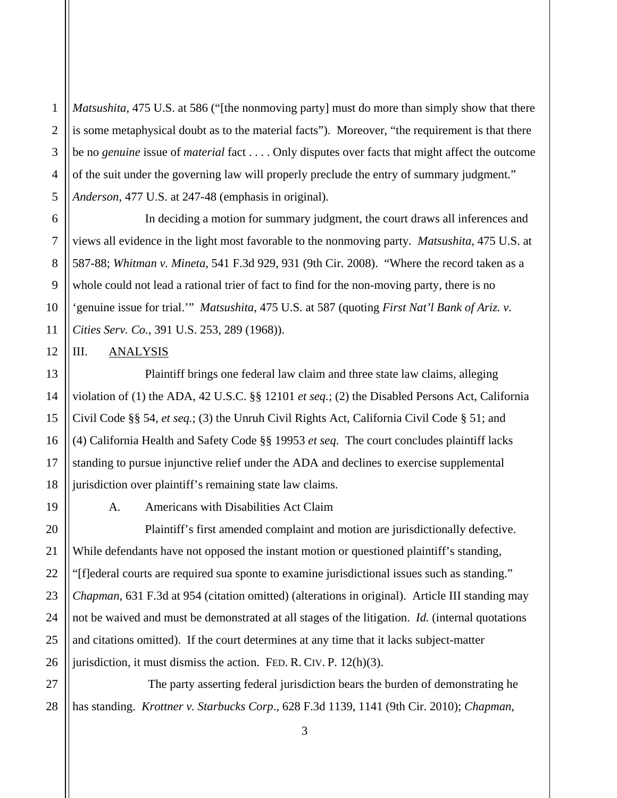1 2 *Matsushita*, 475 U.S. at 586 ("[the nonmoving party] must do more than simply show that there is some metaphysical doubt as to the material facts"). Moreover, "the requirement is that there be no *genuine* issue of *material* fact . . . . Only disputes over facts that might affect the outcome of the suit under the governing law will properly preclude the entry of summary judgment." *Anderson*, 477 U.S. at 247-48 (emphasis in original).

 In deciding a motion for summary judgment, the court draws all inferences and views all evidence in the light most favorable to the nonmoving party. *Matsushita*, 475 U.S. at 587-88; *Whitman v. Mineta*, 541 F.3d 929, 931 (9th Cir. 2008). "Where the record taken as a whole could not lead a rational trier of fact to find for the non-moving party, there is no 'genuine issue for trial.'" *Matsushita*, 475 U.S. at 587 (quoting *First Nat'l Bank of Ariz. v. Cities Serv. Co.*, 391 U.S. 253, 289 (1968)).

## III. ANALYSIS

 Plaintiff brings one federal law claim and three state law claims, alleging violation of (1) the ADA, 42 U.S.C. §§ 12101 *et seq.*; (2) the Disabled Persons Act, California Civil Code §§ 54, *et seq.*; (3) the Unruh Civil Rights Act, California Civil Code § 51; and (4) California Health and Safety Code §§ 19953 *et seq*. The court concludes plaintiff lacks standing to pursue injunctive relief under the ADA and declines to exercise supplemental jurisdiction over plaintiff's remaining state law claims.

A. Americans with Disabilities Act Claim

 Plaintiff's first amended complaint and motion are jurisdictionally defective. While defendants have not opposed the instant motion or questioned plaintiff's standing, "[f]ederal courts are required sua sponte to examine jurisdictional issues such as standing." *Chapman*, 631 F.3d at 954 (citation omitted) (alterations in original). Article III standing may not be waived and must be demonstrated at all stages of the litigation. *Id.* (internal quotations and citations omitted). If the court determines at any time that it lacks subject-matter jurisdiction, it must dismiss the action. FED. R. CIV. P. 12(h)(3).

 The party asserting federal jurisdiction bears the burden of demonstrating he has standing. *Krottner v. Starbucks Corp*., 628 F.3d 1139, 1141 (9th Cir. 2010); *Chapman*,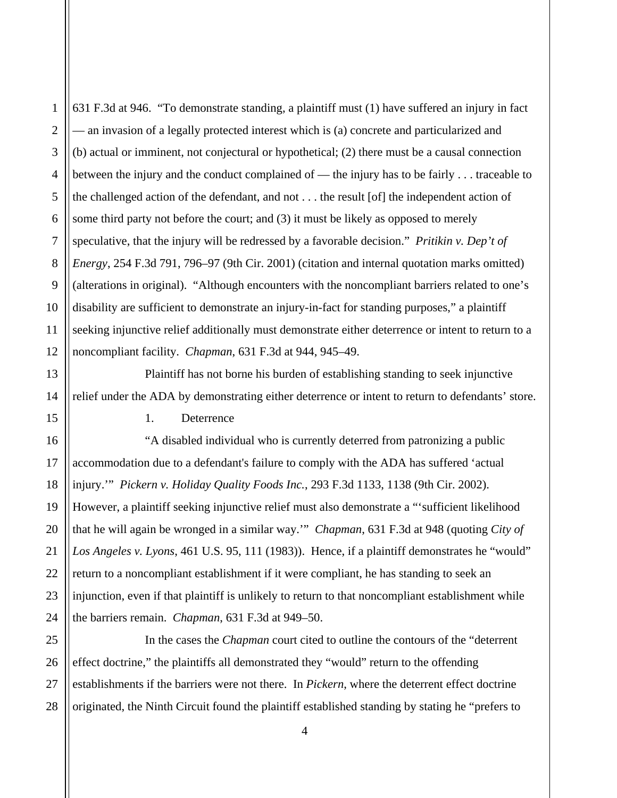631 F.3d at 946. "To demonstrate standing, a plaintiff must (1) have suffered an injury in fact — an invasion of a legally protected interest which is (a) concrete and particularized and (b) actual or imminent, not conjectural or hypothetical; (2) there must be a causal connection between the injury and the conduct complained of — the injury has to be fairly . . . traceable to the challenged action of the defendant, and not . . . the result [of] the independent action of some third party not before the court; and (3) it must be likely as opposed to merely speculative, that the injury will be redressed by a favorable decision." *Pritikin v. Dep't of Energy*, 254 F.3d 791, 796–97 (9th Cir. 2001) (citation and internal quotation marks omitted) (alterations in original). "Although encounters with the noncompliant barriers related to one's disability are sufficient to demonstrate an injury-in-fact for standing purposes," a plaintiff seeking injunctive relief additionally must demonstrate either deterrence or intent to return to a noncompliant facility. *Chapman*, 631 F.3d at 944, 945–49.

 Plaintiff has not borne his burden of establishing standing to seek injunctive relief under the ADA by demonstrating either deterrence or intent to return to defendants' store.

1. Deterrence

 "A disabled individual who is currently deterred from patronizing a public accommodation due to a defendant's failure to comply with the ADA has suffered 'actual injury.'" *Pickern v. Holiday Quality Foods Inc.*, 293 F.3d 1133, 1138 (9th Cir. 2002). However, a plaintiff seeking injunctive relief must also demonstrate a "'sufficient likelihood that he will again be wronged in a similar way.'" *Chapman*, 631 F.3d at 948 (quoting *City of Los Angeles v. Lyons*, 461 U.S. 95, 111 (1983)). Hence, if a plaintiff demonstrates he "would" return to a noncompliant establishment if it were compliant, he has standing to seek an injunction, even if that plaintiff is unlikely to return to that noncompliant establishment while the barriers remain. *Chapman*, 631 F.3d at 949–50.

 In the cases the *Chapman* court cited to outline the contours of the "deterrent effect doctrine," the plaintiffs all demonstrated they "would" return to the offending establishments if the barriers were not there. In *Pickern*, where the deterrent effect doctrine originated, the Ninth Circuit found the plaintiff established standing by stating he "prefers to

1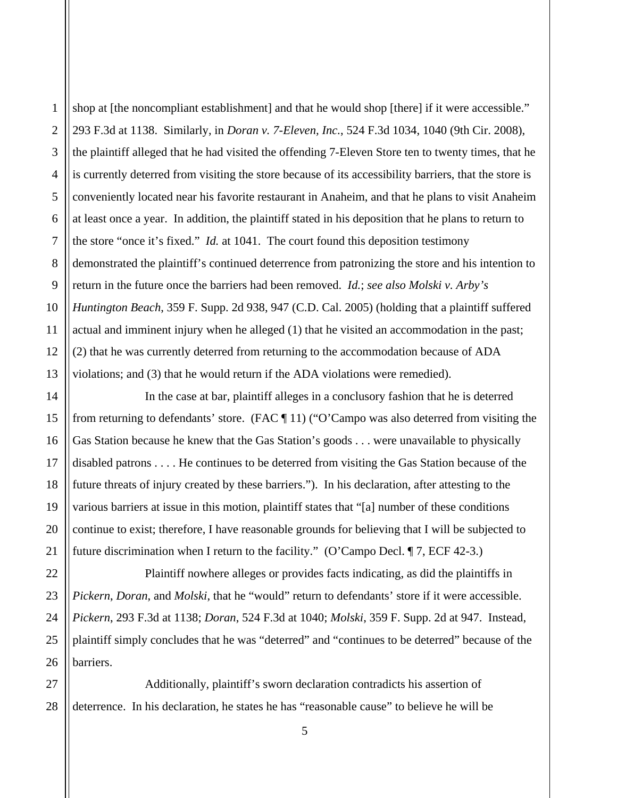shop at [the noncompliant establishment] and that he would shop [there] if it were accessible." 293 F.3d at 1138. Similarly, in *Doran v. 7-Eleven, Inc.*, 524 F.3d 1034, 1040 (9th Cir. 2008), the plaintiff alleged that he had visited the offending 7-Eleven Store ten to twenty times, that he is currently deterred from visiting the store because of its accessibility barriers, that the store is conveniently located near his favorite restaurant in Anaheim, and that he plans to visit Anaheim at least once a year. In addition, the plaintiff stated in his deposition that he plans to return to the store "once it's fixed." *Id.* at 1041. The court found this deposition testimony demonstrated the plaintiff's continued deterrence from patronizing the store and his intention to return in the future once the barriers had been removed. *Id.*; *see also Molski v. Arby's Huntington Beach*, 359 F. Supp. 2d 938, 947 (C.D. Cal. 2005) (holding that a plaintiff suffered actual and imminent injury when he alleged (1) that he visited an accommodation in the past; (2) that he was currently deterred from returning to the accommodation because of ADA violations; and (3) that he would return if the ADA violations were remedied).

 In the case at bar, plaintiff alleges in a conclusory fashion that he is deterred from returning to defendants' store. (FAC ¶ 11) ("O'Campo was also deterred from visiting the Gas Station because he knew that the Gas Station's goods . . . were unavailable to physically disabled patrons . . . . He continues to be deterred from visiting the Gas Station because of the future threats of injury created by these barriers."). In his declaration, after attesting to the various barriers at issue in this motion, plaintiff states that "[a] number of these conditions continue to exist; therefore, I have reasonable grounds for believing that I will be subjected to future discrimination when I return to the facility." (O'Campo Decl. ¶ 7, ECF 42-3.)

 Plaintiff nowhere alleges or provides facts indicating, as did the plaintiffs in *Pickern*, *Doran*, and *Molski*, that he "would" return to defendants' store if it were accessible. *Pickern*, 293 F.3d at 1138; *Doran*, 524 F.3d at 1040; *Molski*, 359 F. Supp. 2d at 947. Instead, plaintiff simply concludes that he was "deterred" and "continues to be deterred" because of the barriers.

5

 Additionally, plaintiff's sworn declaration contradicts his assertion of deterrence. In his declaration, he states he has "reasonable cause" to believe he will be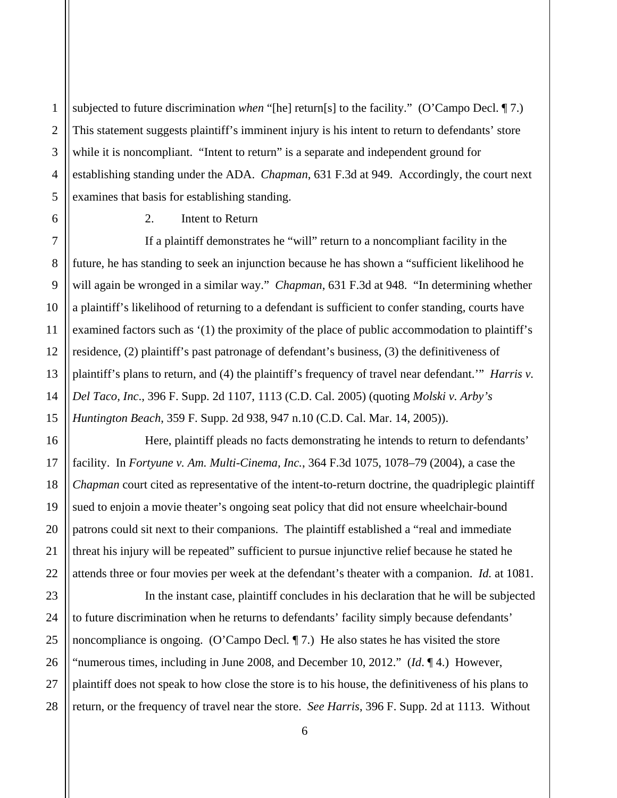subjected to future discrimination *when* "[he] return[s] to the facility." (O'Campo Decl. ¶ 7.) This statement suggests plaintiff's imminent injury is his intent to return to defendants' store while it is noncompliant. "Intent to return" is a separate and independent ground for establishing standing under the ADA. *Chapman*, 631 F.3d at 949. Accordingly, the court next examines that basis for establishing standing.

2. Intent to Return

 If a plaintiff demonstrates he "will" return to a noncompliant facility in the future, he has standing to seek an injunction because he has shown a "sufficient likelihood he will again be wronged in a similar way." *Chapman*, 631 F.3d at 948. "In determining whether a plaintiff's likelihood of returning to a defendant is sufficient to confer standing, courts have examined factors such as '(1) the proximity of the place of public accommodation to plaintiff's residence, (2) plaintiff's past patronage of defendant's business, (3) the definitiveness of plaintiff's plans to return, and (4) the plaintiff's frequency of travel near defendant.'" *Harris v. Del Taco, Inc*., 396 F. Supp. 2d 1107, 1113 (C.D. Cal. 2005) (quoting *Molski v. Arby's Huntington Beach*, 359 F. Supp. 2d 938, 947 n.10 (C.D. Cal. Mar. 14, 2005)).

 Here, plaintiff pleads no facts demonstrating he intends to return to defendants' facility. In *Fortyune v. Am. Multi-Cinema, Inc.*, 364 F.3d 1075, 1078–79 (2004), a case the *Chapman* court cited as representative of the intent-to-return doctrine, the quadriplegic plaintiff sued to enjoin a movie theater's ongoing seat policy that did not ensure wheelchair-bound patrons could sit next to their companions. The plaintiff established a "real and immediate threat his injury will be repeated" sufficient to pursue injunctive relief because he stated he attends three or four movies per week at the defendant's theater with a companion. *Id.* at 1081.

 In the instant case, plaintiff concludes in his declaration that he will be subjected to future discrimination when he returns to defendants' facility simply because defendants' noncompliance is ongoing. (O'Campo Decl*.* ¶ 7.) He also states he has visited the store "numerous times, including in June 2008, and December 10, 2012." (*Id*. ¶ 4.) However, plaintiff does not speak to how close the store is to his house, the definitiveness of his plans to return, or the frequency of travel near the store. *See Harris*, 396 F. Supp. 2d at 1113. Without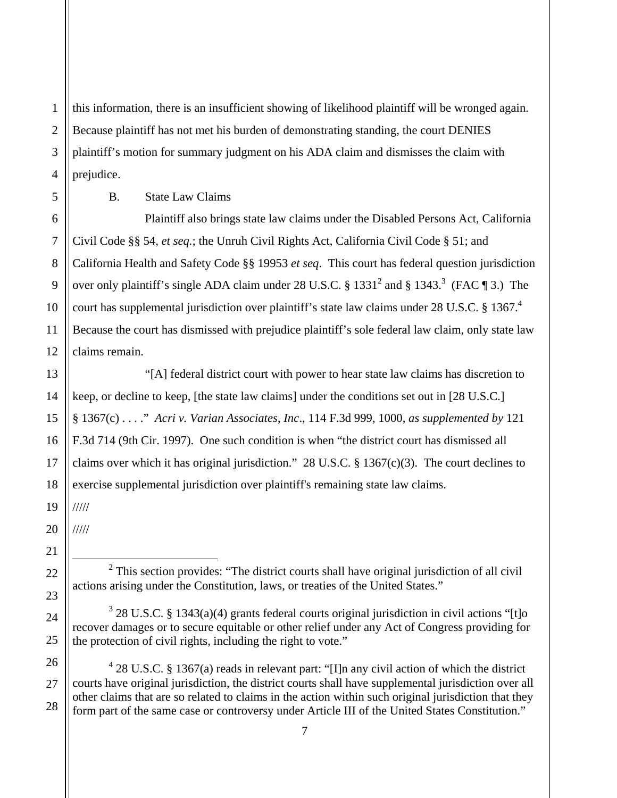1 this information, there is an insufficient showing of likelihood plaintiff will be wronged again. Because plaintiff has not met his burden of demonstrating standing, the court DENIES plaintiff's motion for summary judgment on his ADA claim and dismisses the claim with prejudice.

B. State Law Claims

 Plaintiff also brings state law claims under the Disabled Persons Act, California Civil Code §§ 54, *et seq.*; the Unruh Civil Rights Act, California Civil Code § 51; and California Health and Safety Code §§ 19953 *et seq*. This court has federal question jurisdiction over only plaintiff's single ADA claim under 28 U.S.C. § 1331<sup>2</sup> and § 1343.<sup>3</sup> (FAC ¶ 3.) The court has supplemental jurisdiction over plaintiff's state law claims under 28 U.S.C. § 1367.<sup>4</sup> Because the court has dismissed with prejudice plaintiff's sole federal law claim, only state law claims remain.

 "[A] federal district court with power to hear state law claims has discretion to keep, or decline to keep, [the state law claims] under the conditions set out in [28 U.S.C.] § 1367(c) . . . ." *Acri v. Varian Associates*, *Inc*., 114 F.3d 999, 1000, *as supplemented by* 121 F.3d 714 (9th Cir. 1997). One such condition is when "the district court has dismissed all claims over which it has original jurisdiction." 28 U.S.C. § 1367(c)(3). The court declines to exercise supplemental jurisdiction over plaintiff's remaining state law claims.

/////

/////

<u>.</u>

 $428$  U.S.C. § 1367(a) reads in relevant part: "[I]n any civil action of which the district courts have original jurisdiction, the district courts shall have supplemental jurisdiction over all other claims that are so related to claims in the action within such original jurisdiction that they form part of the same case or controversy under Article III of the United States Constitution."

 $2$  This section provides: "The district courts shall have original jurisdiction of all civil actions arising under the Constitution, laws, or treaties of the United States."

 $3$  28 U.S.C. § 1343(a)(4) grants federal courts original jurisdiction in civil actions "[t]o recover damages or to secure equitable or other relief under any Act of Congress providing for the protection of civil rights, including the right to vote."